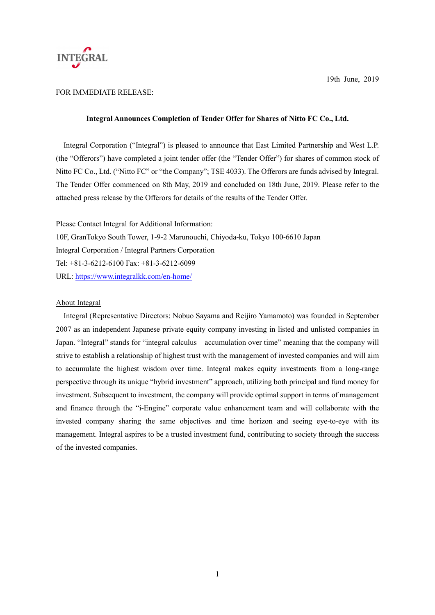

# FOR IMMEDIATE RELEASE:

## **Integral Announces Completion of Tender Offer for Shares of Nitto FC Co., Ltd.**

Integral Corporation ("Integral") is pleased to announce that East Limited Partnership and West L.P. (the "Offerors") have completed a joint tender offer (the "Tender Offer") for shares of common stock of Nitto FC Co., Ltd. ("Nitto FC" or "the Company"; TSE 4033). The Offerors are funds advised by Integral. The Tender Offer commenced on 8th May, 2019 and concluded on 18th June, 2019. Please refer to the attached press release by the Offerors for details of the results of the Tender Offer.

Please Contact Integral for Additional Information: 10F, GranTokyo South Tower, 1-9-2 Marunouchi, Chiyoda-ku, Tokyo 100-6610 Japan Integral Corporation / Integral Partners Corporation Tel: +81-3-6212-6100 Fax: +81-3-6212-6099 URL: https://www.integralkk.com/en-home/

## About Integral

Integral (Representative Directors: Nobuo Sayama and Reijiro Yamamoto) was founded in September 2007 as an independent Japanese private equity company investing in listed and unlisted companies in Japan. "Integral" stands for "integral calculus – accumulation over time" meaning that the company will strive to establish a relationship of highest trust with the management of invested companies and will aim to accumulate the highest wisdom over time. Integral makes equity investments from a long-range perspective through its unique "hybrid investment" approach, utilizing both principal and fund money for investment. Subsequent to investment, the company will provide optimal support in terms of management and finance through the "i-Engine" corporate value enhancement team and will collaborate with the invested company sharing the same objectives and time horizon and seeing eye-to-eye with its management. Integral aspires to be a trusted investment fund, contributing to society through the success of the invested companies.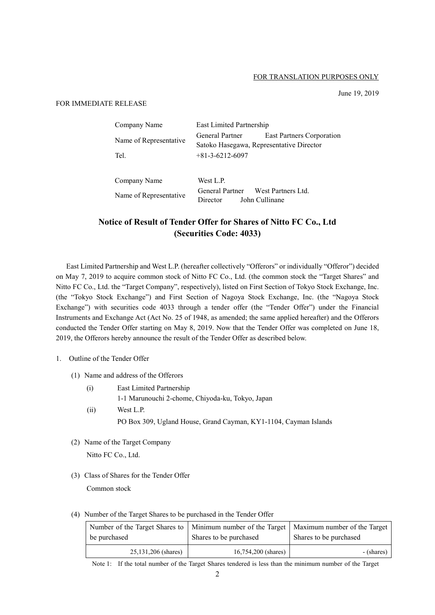#### FOR TRANSLATION PURPOSES ONLY

June 19, 2019

#### FOR IMMEDIATE RELEASE

| Company Name           | East Limited Partnership                                    |                           |
|------------------------|-------------------------------------------------------------|---------------------------|
| Name of Representative | General Partner<br>Satoko Hasegawa, Representative Director | East Partners Corporation |
| Tel.                   | $+81-3-6212-6097$                                           |                           |

Company Name West L.P. Name of Representative General Partner West Partners Ltd.<br>
Director John Cullinane John Cullinane

# **Notice of Result of Tender Offer for Shares of Nitto FC Co., Ltd (Securities Code: 4033)**

East Limited Partnership and West L.P. (hereafter collectively "Offerors" or individually "Offeror") decided on May 7, 2019 to acquire common stock of Nitto FC Co., Ltd. (the common stock the "Target Shares" and Nitto FC Co., Ltd. the "Target Company", respectively), listed on First Section of Tokyo Stock Exchange, Inc. (the "Tokyo Stock Exchange") and First Section of Nagoya Stock Exchange, Inc. (the "Nagoya Stock Exchange") with securities code 4033 through a tender offer (the "Tender Offer") under the Financial Instruments and Exchange Act (Act No. 25 of 1948, as amended; the same applied hereafter) and the Offerors conducted the Tender Offer starting on May 8, 2019. Now that the Tender Offer was completed on June 18, 2019, the Offerors hereby announce the result of the Tender Offer as described below.

## 1. Outline of the Tender Offer

- (1) Name and address of the Offerors
	- (i) East Limited Partnership 1-1 Marunouchi 2-chome, Chiyoda-ku, Tokyo, Japan
	- (ii) West L.P. PO Box 309, Ugland House, Grand Cayman, KY1-1104, Cayman Islands
- (2) Name of the Target Company Nitto FC Co., Ltd.
- (3) Class of Shares for the Tender Offer Common stock
- (4) Number of the Target Shares to be purchased in the Tender Offer

| be purchased        | Number of the Target Shares to   Minimum number of the Target   Maximum number of the Target<br>Shares to be purchased | Shares to be purchased |
|---------------------|------------------------------------------------------------------------------------------------------------------------|------------------------|
| 25,131,206 (shares) | $16,754,200$ (shares)                                                                                                  | - (shares)             |

Note 1: If the total number of the Target Shares tendered is less than the minimum number of the Target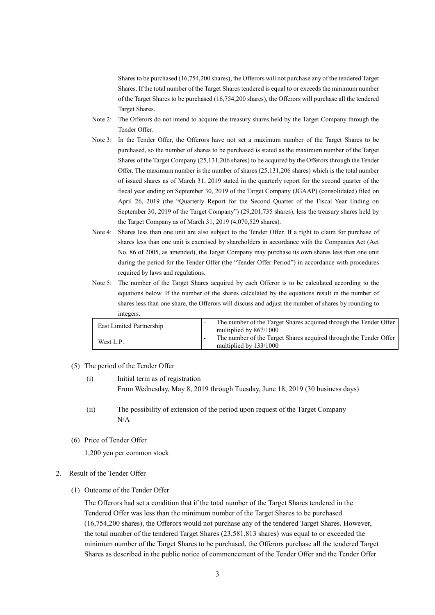Shares to be purchased (16,754,200 shares), the Offerors will not purchase any of the tendered Target Shares. If the total number of the Target Shares tendered is equal to or exceeds the minimum number of the Target Shares to be purchased (16,754,200 shares), the Offerors will purchase all the tendered Target Shares.

- Note 2: The Offerors do not intend to acquire the treasury shares held by the Target Company through the Tender Offer.
- Note 3: In the Tender Offer, the Offerors have not set a maximum number of the Target Shares to be purchased, so the number of shares to be purchased is stated as the maximum number of the Target Shares of the Target Company (25,131,206 shares) to be acquired by the Offerors through the Tender Offer. The maximum number is the number of shares  $(25,131,206$  shares) which is the total number of issued shares as of March 31, 2019 stated in the quarterly report for the second quarter of the fiscal year ending on September 30, 2019 of the Target Company (JGAAP) (consolidated) filed on April 26, 2019 (the "Quarterly Report for the Second Quarter of the Fiscal Year Ending on September 30, 2019 of the Target Company") (29,201,735 shares), less the treasury shares held by the Target Company as of March 31, 2019 (4,070,529 shares).
- Note 4: Shares less than one unit are also subject to the Tender Offer. If a right to claim for purchase of shares less than one unit is exercised by shareholders in accordance with the Companies Act (Act No. 86 of 2005, as amended), the Target Company may purchase its own shares less than one unit during the period for the Tender Offer (the "Tender Offer Period") in accordance with procedures required by laws and regulations.
- Note 5: The number of the Target Shares acquired by each Offeror is to be calculated according to the equations below. If the number of the shares calculated by the equations result in the number of shares less than one share, the Offerors will discuss and adjust the number of shares by rounding to integers.

| East Limited Partnership | The number of the Target Shares acquired through the Tender Offer<br>multiplied by 867/1000 |
|--------------------------|---------------------------------------------------------------------------------------------|
| West L.P.                | The number of the Target Shares acquired through the Tender Offer<br>multiplied by 133/1000 |

- (5) The period of the Tender Offer
	- (i) Initial term as of registration From Wednesday, May 8, 2019 through Tuesday, June 18, 2019 (30 business days)
	- (ii) The possibility of extension of the period upon request of the Target Company N/A
- (6) Price of Tender Offer

1,200 yen per common stock

#### 2. Result of the Tender Offer

(1) Outcome of the Tender Offer

The Offerors had set a condition that if the total number of the Target Shares tendered in the Tendered Offer was less than the minimum number of the Target Shares to be purchased (16,754,200 shares), the Offerors would not purchase any of the tendered Target Shares. However, the total number of the tendered Target Shares (23,581,813 shares) was equal to or exceeded the minimum number of the Target Shares to be purchased, the Offerors purchase all the tendered Target Shares as described in the public notice of commencement of the Tender Offer and the Tender Offer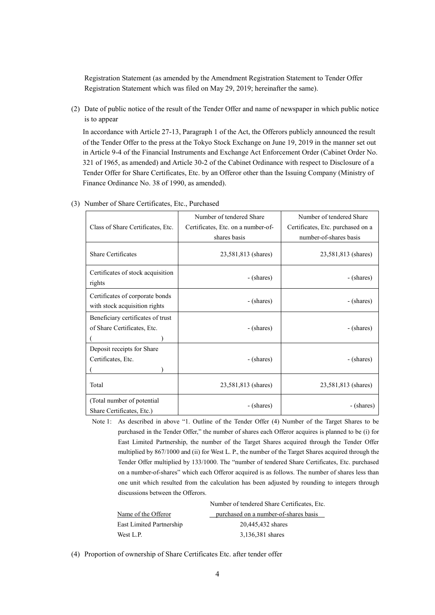Registration Statement (as amended by the Amendment Registration Statement to Tender Offer Registration Statement which was filed on May 29, 2019; hereinafter the same).

(2) Date of public notice of the result of the Tender Offer and name of newspaper in which public notice is to appear

In accordance with Article 27-13, Paragraph 1 of the Act, the Offerors publicly announced the result of the Tender Offer to the press at the Tokyo Stock Exchange on June 19, 2019 in the manner set out in Article 9-4 of the Financial Instruments and Exchange Act Enforcement Order (Cabinet Order No. 321 of 1965, as amended) and Article 30-2 of the Cabinet Ordinance with respect to Disclosure of a Tender Offer for Share Certificates, Etc. by an Offeror other than the Issuing Company (Ministry of Finance Ordinance No. 38 of 1990, as amended).

|                                                                  | Number of tendered Share           | Number of tendered Share          |
|------------------------------------------------------------------|------------------------------------|-----------------------------------|
| Class of Share Certificates, Etc.                                | Certificates, Etc. on a number-of- | Certificates, Etc. purchased on a |
|                                                                  | shares basis                       | number-of-shares basis            |
| <b>Share Certificates</b>                                        | 23,581,813 (shares)                | 23,581,813 (shares)               |
| Certificates of stock acquisition<br>rights                      | - (shares)                         | - (shares)                        |
| Certificates of corporate bonds<br>with stock acquisition rights | - (shares)                         | - (shares)                        |
| Beneficiary certificates of trust                                |                                    |                                   |
| of Share Certificates, Etc.                                      | - (shares)                         | - (shares)                        |
|                                                                  |                                    |                                   |
| Deposit receipts for Share                                       |                                    |                                   |
| Certificates, Etc.                                               | - (shares)                         | - (shares)                        |
|                                                                  |                                    |                                   |
| Total                                                            | 23,581,813 (shares)                | 23,581,813 (shares)               |
| (Total number of potential<br>Share Certificates, Etc.)          | - (shares)                         | - (shares)                        |

(3) Number of Share Certificates, Etc., Purchased

Note 1: As described in above "1. Outline of the Tender Offer (4) Number of the Target Shares to be purchased in the Tender Offer," the number of shares each Offeror acquires is planned to be (i) for East Limited Partnership, the number of the Target Shares acquired through the Tender Offer multiplied by 867/1000 and (ii) for West L. P., the number of the Target Shares acquired through the Tender Offer multiplied by 133/1000. The "number of tendered Share Certificates, Etc. purchased on a number-of-shares" which each Offeror acquired is as follows. The number of shares less than one unit which resulted from the calculation has been adjusted by rounding to integers through discussions between the Offerors.

|                          | Number of tendered Share Certificates, Etc. |  |  |
|--------------------------|---------------------------------------------|--|--|
| Name of the Offeror      | purchased on a number-of-shares basis       |  |  |
| East Limited Partnership | 20,445,432 shares                           |  |  |
| West L.P.                | 3,136,381 shares                            |  |  |

(4) Proportion of ownership of Share Certificates Etc. after tender offer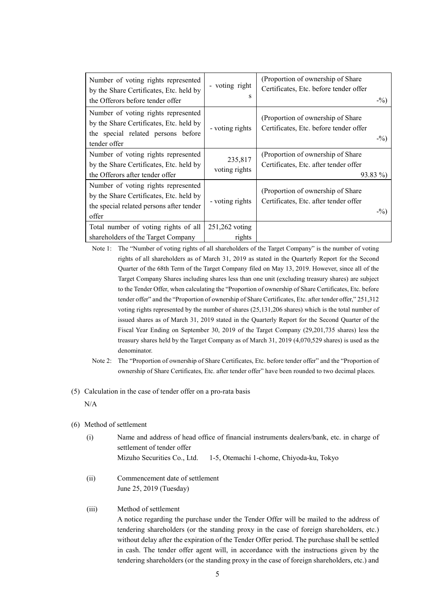| Number of voting rights represented<br>by the Share Certificates, Etc. held by<br>the Offerors before tender offer                   | - voting right<br>s      | (Proportion of ownership of Share)<br>Certificates, Etc. before tender offer<br>$-$ %)  |
|--------------------------------------------------------------------------------------------------------------------------------------|--------------------------|-----------------------------------------------------------------------------------------|
| Number of voting rights represented<br>by the Share Certificates, Etc. held by<br>the special related persons before<br>tender offer | - voting rights          | (Proportion of ownership of Share)<br>Certificates, Etc. before tender offer<br>$-$ %)  |
| Number of voting rights represented<br>by the Share Certificates, Etc. held by<br>the Offerors after tender offer                    | 235,817<br>voting rights | (Proportion of ownership of Share<br>Certificates, Etc. after tender offer<br>$93.83\%$ |
| Number of voting rights represented<br>by the Share Certificates, Etc. held by<br>the special related persons after tender<br>offer  | - voting rights          | (Proportion of ownership of Share)<br>Certificates, Etc. after tender offer<br>$-$ %)   |
| Total number of voting rights of all                                                                                                 | 251,262 voting           |                                                                                         |
| shareholders of the Target Company                                                                                                   | rights                   |                                                                                         |

Note 1: The "Number of voting rights of all shareholders of the Target Company" is the number of voting rights of all shareholders as of March 31, 2019 as stated in the Quarterly Report for the Second Quarter of the 68th Term of the Target Company filed on May 13, 2019. However, since all of the Target Company Shares including shares less than one unit (excluding treasury shares) are subject to the Tender Offer, when calculating the "Proportion of ownership of Share Certificates, Etc. before tender offer" and the "Proportion of ownership of Share Certificates, Etc. after tender offer," 251,312 voting rights represented by the number of shares (25,131,206 shares) which is the total number of issued shares as of March 31, 2019 stated in the Quarterly Report for the Second Quarter of the Fiscal Year Ending on September 30, 2019 of the Target Company (29,201,735 shares) less the treasury shares held by the Target Company as of March 31, 2019 (4,070,529 shares) is used as the denominator.

- Note 2: The "Proportion of ownership of Share Certificates, Etc. before tender offer" and the "Proportion of ownership of Share Certificates, Etc. after tender offer" have been rounded to two decimal places.
- (5) Calculation in the case of tender offer on a pro-rata basis

N/A

- (6) Method of settlement
	- (i) Name and address of head office of financial instruments dealers/bank, etc. in charge of settlement of tender offer Mizuho Securities Co., Ltd. 1-5, Otemachi 1-chome, Chiyoda-ku, Tokyo
	- (ii) Commencement date of settlement June 25, 2019 (Tuesday)

# (iii) Method of settlement

A notice regarding the purchase under the Tender Offer will be mailed to the address of tendering shareholders (or the standing proxy in the case of foreign shareholders, etc.) without delay after the expiration of the Tender Offer period. The purchase shall be settled in cash. The tender offer agent will, in accordance with the instructions given by the tendering shareholders (or the standing proxy in the case of foreign shareholders, etc.) and